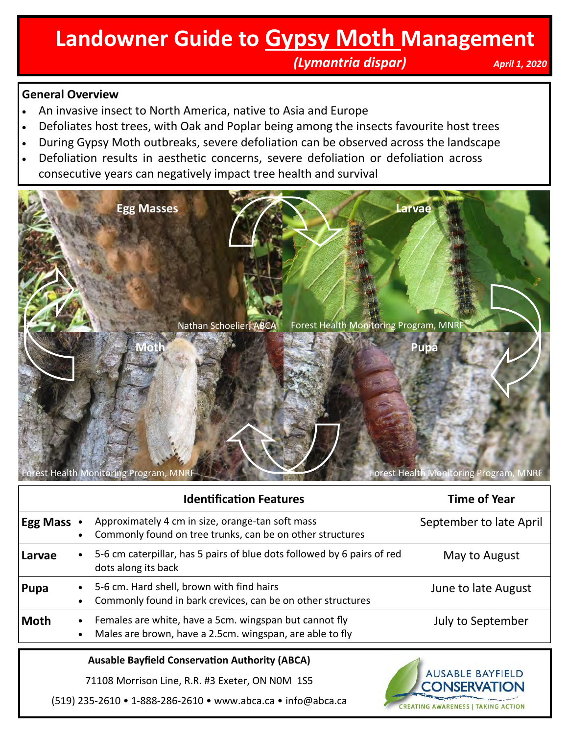## **Landowner Guide to Gypsy Moth Management**

 *(Lymantria dispar) April 1, 2020*

**CREATING AWARENESS | TAKING ACTION** 

#### **General Overview**

- An invasive insect to North America, native to Asia and Europe
- Defoliates host trees, with Oak and Poplar being among the insects favourite host trees
- During Gypsy Moth outbreaks, severe defoliation can be observed across the landscape
- Defoliation results in aesthetic concerns, severe defoliation or defoliation across consecutive years can negatively impact tree health and survival



|                                                       | <b>Identification Features</b>                                                                                     | <b>Time of Year</b>                            |
|-------------------------------------------------------|--------------------------------------------------------------------------------------------------------------------|------------------------------------------------|
| <b>Egg Mass •</b>                                     | Approximately 4 cm in size, orange-tan soft mass<br>Commonly found on tree trunks, can be on other structures      | September to late April                        |
| Larvae                                                | 5-6 cm caterpillar, has 5 pairs of blue dots followed by 6 pairs of red<br>dots along its back                     | May to August                                  |
| Pupa                                                  | 5-6 cm. Hard shell, brown with find hairs<br>Commonly found in bark crevices, can be on other structures           | June to late August                            |
| Moth                                                  | Females are white, have a 5cm. wingspan but cannot fly<br>Males are brown, have a 2.5cm. wingspan, are able to fly | July to September                              |
| <b>Ausable Bayfield Conservation Authority (ABCA)</b> |                                                                                                                    |                                                |
|                                                       | 71108 Morrison Line, R.R. #3 Exeter, ON NOM 1S5                                                                    | <b>AUSABLE BAYFIELD</b><br><b>CONSERVATION</b> |

(519) 235-2610 • 1-888-286-2610 • www.abca.ca • info@abca.ca